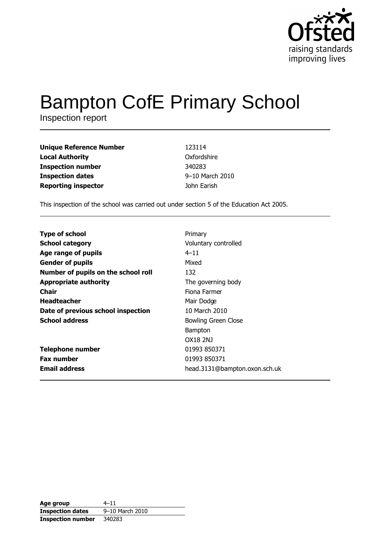

# **Bampton CofE Primary School**

Inspection report

**Unique Reference Number Local Authority Inspection number Inspection dates Reporting inspector** 

123114 Oxfordshire 340283 9-10 March 2010 John Earish

This inspection of the school was carried out under section 5 of the Education Act 2005.

| <b>Type of school</b>               | Primary                       |
|-------------------------------------|-------------------------------|
| <b>School category</b>              | Voluntary controlled          |
| Age range of pupils                 | $4 - 11$                      |
| <b>Gender of pupils</b>             | Mixed                         |
| Number of pupils on the school roll | 132                           |
| <b>Appropriate authority</b>        | The governing body            |
| <b>Chair</b>                        | Fiona Farmer                  |
| <b>Headteacher</b>                  | Mair Dodge                    |
| Date of previous school inspection  | 10 March 2010                 |
| <b>School address</b>               | <b>Bowling Green Close</b>    |
|                                     | <b>Bampton</b>                |
|                                     | OX18 2NJ                      |
| <b>Telephone number</b>             | 01993 850371                  |
| <b>Fax number</b>                   | 01993 850371                  |
| <b>Email address</b>                | head.3131@bampton.oxon.sch.uk |

| Age group                | $4 - 11$        |
|--------------------------|-----------------|
| <b>Inspection dates</b>  | 9-10 March 2010 |
| <b>Inspection number</b> | 340283          |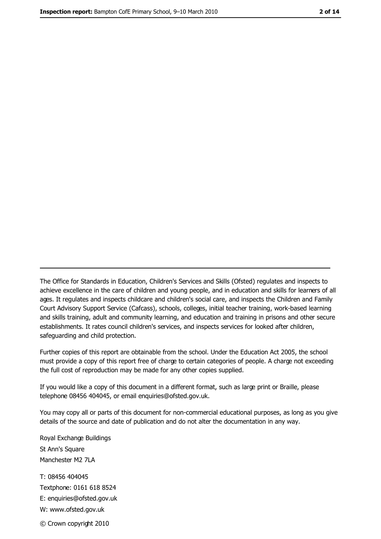The Office for Standards in Education, Children's Services and Skills (Ofsted) regulates and inspects to achieve excellence in the care of children and young people, and in education and skills for learners of all ages. It regulates and inspects childcare and children's social care, and inspects the Children and Family Court Advisory Support Service (Cafcass), schools, colleges, initial teacher training, work-based learning and skills training, adult and community learning, and education and training in prisons and other secure establishments. It rates council children's services, and inspects services for looked after children, safequarding and child protection.

Further copies of this report are obtainable from the school. Under the Education Act 2005, the school must provide a copy of this report free of charge to certain categories of people. A charge not exceeding the full cost of reproduction may be made for any other copies supplied.

If you would like a copy of this document in a different format, such as large print or Braille, please telephone 08456 404045, or email enquiries@ofsted.gov.uk.

You may copy all or parts of this document for non-commercial educational purposes, as long as you give details of the source and date of publication and do not alter the documentation in any way.

Royal Exchange Buildings St Ann's Square Manchester M2 7LA T: 08456 404045 Textphone: 0161 618 8524 E: enquiries@ofsted.gov.uk W: www.ofsted.gov.uk © Crown copyright 2010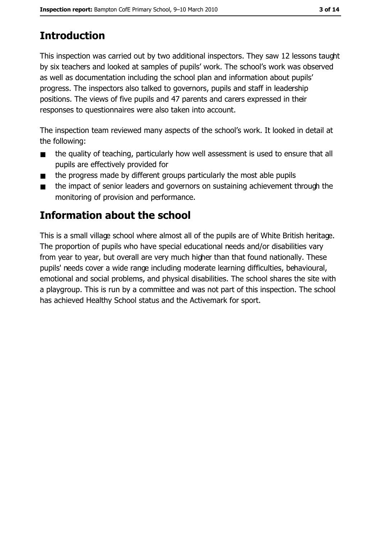# **Introduction**

This inspection was carried out by two additional inspectors. They saw 12 lessons taught by six teachers and looked at samples of pupils' work. The school's work was observed as well as documentation including the school plan and information about pupils' progress. The inspectors also talked to governors, pupils and staff in leadership positions. The views of five pupils and 47 parents and carers expressed in their responses to questionnaires were also taken into account.

The inspection team reviewed many aspects of the school's work. It looked in detail at the following:

- the quality of teaching, particularly how well assessment is used to ensure that all  $\blacksquare$ pupils are effectively provided for
- the progress made by different groups particularly the most able pupils  $\blacksquare$
- the impact of senior leaders and governors on sustaining achievement through the  $\blacksquare$ monitoring of provision and performance.

# Information about the school

This is a small village school where almost all of the pupils are of White British heritage. The proportion of pupils who have special educational needs and/or disabilities vary from year to year, but overall are very much higher than that found nationally. These pupils' needs cover a wide range including moderate learning difficulties, behavioural, emotional and social problems, and physical disabilities. The school shares the site with a playgroup. This is run by a committee and was not part of this inspection. The school has achieved Healthy School status and the Activemark for sport.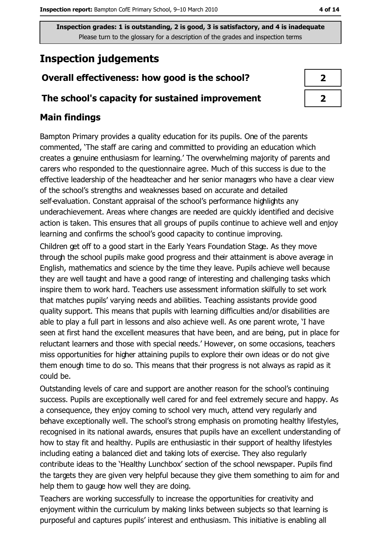# **Inspection judgements**

## Overall effectiveness: how good is the school?

#### The school's capacity for sustained improvement

## **Main findings**

Bampton Primary provides a quality education for its pupils. One of the parents commented, 'The staff are caring and committed to providing an education which creates a genuine enthusiasm for learning.' The overwhelming majority of parents and carers who responded to the questionnaire agree. Much of this success is due to the effective leadership of the headteacher and her senior managers who have a clear view of the school's strengths and weaknesses based on accurate and detailed self-evaluation. Constant appraisal of the school's performance highlights any underachievement. Areas where changes are needed are quickly identified and decisive action is taken. This ensures that all groups of pupils continue to achieve well and enjoy learning and confirms the school's good capacity to continue improving.

Children get off to a good start in the Early Years Foundation Stage. As they move through the school pupils make good progress and their attainment is above average in English, mathematics and science by the time they leave. Pupils achieve well because they are well taught and have a good range of interesting and challenging tasks which inspire them to work hard. Teachers use assessment information skilfully to set work that matches pupils' varying needs and abilities. Teaching assistants provide good quality support. This means that pupils with learning difficulties and/or disabilities are able to play a full part in lessons and also achieve well. As one parent wrote, 'I have seen at first hand the excellent measures that have been, and are being, put in place for reluctant learners and those with special needs.' However, on some occasions, teachers miss opportunities for higher attaining pupils to explore their own ideas or do not give them enough time to do so. This means that their progress is not always as rapid as it could be.

Outstanding levels of care and support are another reason for the school's continuing success. Pupils are exceptionally well cared for and feel extremely secure and happy. As a consequence, they enjoy coming to school very much, attend very regularly and behave exceptionally well. The school's strong emphasis on promoting healthy lifestyles, recognised in its national awards, ensures that pupils have an excellent understanding of how to stay fit and healthy. Pupils are enthusiastic in their support of healthy lifestyles including eating a balanced diet and taking lots of exercise. They also regularly contribute ideas to the 'Healthy Lunchbox' section of the school newspaper. Pupils find the targets they are given very helpful because they give them something to aim for and help them to gauge how well they are doing.

Teachers are working successfully to increase the opportunities for creativity and enjoyment within the curriculum by making links between subjects so that learning is purposeful and captures pupils' interest and enthusiasm. This initiative is enabling all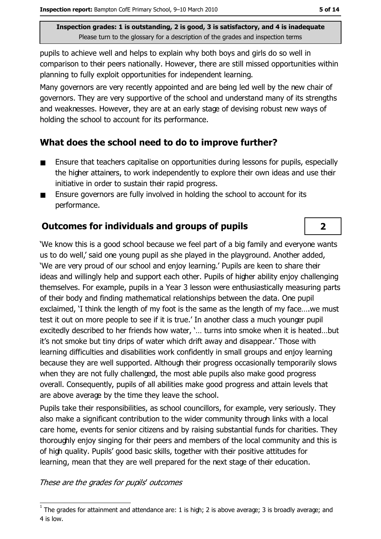pupils to achieve well and helps to explain why both boys and girls do so well in comparison to their peers nationally. However, there are still missed opportunities within planning to fully exploit opportunities for independent learning.

Many governors are very recently appointed and are being led well by the new chair of governors. They are very supportive of the school and understand many of its strengths and weaknesses. However, they are at an early stage of devising robust new ways of holding the school to account for its performance.

# What does the school need to do to improve further?

- Ensure that teachers capitalise on opportunities during lessons for pupils, especially  $\blacksquare$ the higher attainers, to work independently to explore their own ideas and use their initiative in order to sustain their rapid progress.
- Ensure governors are fully involved in holding the school to account for its  $\blacksquare$ performance.

# **Outcomes for individuals and groups of pupils**

'We know this is a good school because we feel part of a big family and everyone wants us to do well,' said one young pupil as she played in the playground. Another added, 'We are very proud of our school and enjoy learning.' Pupils are keen to share their ideas and willingly help and support each other. Pupils of hidner ability eniov challenging themselves. For example, pupils in a Year 3 lesson were enthusiastically measuring parts of their body and finding mathematical relationships between the data. One pupil exclaimed, 'I think the length of my foot is the same as the length of my face....we must test it out on more people to see if it is true.' In another class a much younger pupil excitedly described to her friends how water, '... turns into smoke when it is heated...but it's not smoke but tiny drips of water which drift away and disappear.' Those with learning difficulties and disabilities work confidently in small groups and enjoy learning because they are well supported. Although their progress occasionally temporarily slows when they are not fully challenged, the most able pupils also make good progress overall. Consequently, pupils of all abilities make good progress and attain levels that are above average by the time they leave the school.

Pupils take their responsibilities, as school councillors, for example, very seriously. They also make a significant contribution to the wider community through links with a local care home, events for senior citizens and by raising substantial funds for charities. They thoroughly enjoy singing for their peers and members of the local community and this is of high quality. Pupils' good basic skills, together with their positive attitudes for learning, mean that they are well prepared for the next stage of their education.

These are the grades for pupils' outcomes

 $\overline{\mathbf{2}}$ 

 $1$  The arades for attainment and attendance are: 1 is high; 2 is above average; 3 is broadly average; and 4 is low.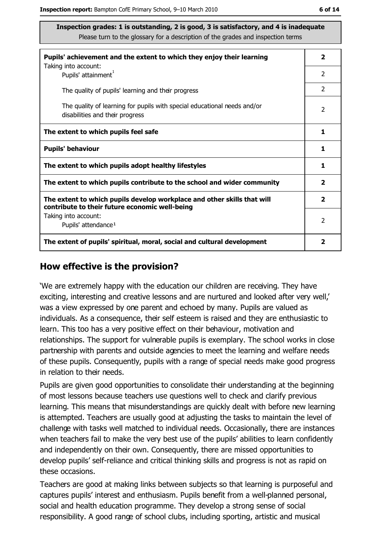| Pupils' achievement and the extent to which they enjoy their learning                                                     |               |
|---------------------------------------------------------------------------------------------------------------------------|---------------|
| Taking into account:<br>Pupils' attainment <sup>1</sup>                                                                   | 2             |
| The quality of pupils' learning and their progress                                                                        | $\mathcal{P}$ |
| The quality of learning for pupils with special educational needs and/or<br>disabilities and their progress               |               |
| The extent to which pupils feel safe                                                                                      |               |
| <b>Pupils' behaviour</b>                                                                                                  |               |
| The extent to which pupils adopt healthy lifestyles                                                                       |               |
| The extent to which pupils contribute to the school and wider community                                                   |               |
| The extent to which pupils develop workplace and other skills that will<br>contribute to their future economic well-being |               |
| Taking into account:                                                                                                      | $\mathcal{P}$ |
| Pupils' attendance <sup>1</sup>                                                                                           |               |
| The extent of pupils' spiritual, moral, social and cultural development                                                   |               |

#### How effective is the provision?

'We are extremely happy with the education our children are receiving. They have exciting, interesting and creative lessons and are nurtured and looked after very well, was a view expressed by one parent and echoed by many. Pupils are valued as individuals. As a consequence, their self esteem is raised and they are enthusiastic to learn. This too has a very positive effect on their behaviour, motivation and relationships. The support for vulnerable pupils is exemplary. The school works in close partnership with parents and outside agencies to meet the learning and welfare needs of these pupils. Consequently, pupils with a range of special needs make good progress in relation to their needs.

Pupils are given good opportunities to consolidate their understanding at the beginning of most lessons because teachers use questions well to check and clarify previous learning. This means that misunderstandings are quickly dealt with before new learning is attempted. Teachers are usually good at adjusting the tasks to maintain the level of challenge with tasks well matched to individual needs. Occasionally, there are instances when teachers fail to make the very best use of the pupils' abilities to learn confidently and independently on their own. Consequently, there are missed opportunities to develop pupils' self-reliance and critical thinking skills and progress is not as rapid on these occasions.

Teachers are good at making links between subjects so that learning is purposeful and captures pupils' interest and enthusiasm. Pupils benefit from a well-planned personal, social and health education programme. They develop a strong sense of social responsibility. A good range of school clubs, including sporting, artistic and musical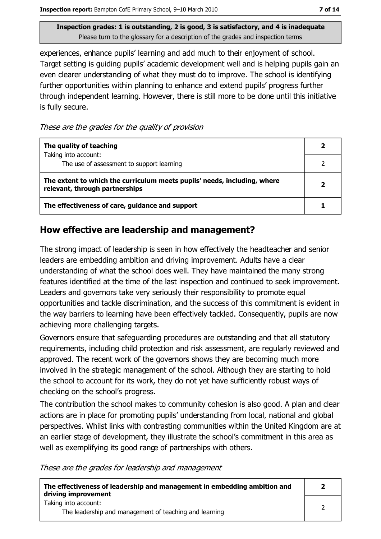experiences, enhance pupils' learning and add much to their enjoyment of school. Target setting is quiding pupils' academic development well and is helping pupils gain an even clearer understanding of what they must do to improve. The school is identifying further opportunities within planning to enhance and extend pupils' progress further through independent learning. However, there is still more to be done until this initiative is fully secure.

These are the grades for the quality of provision

| The quality of teaching                                                                                    |  |
|------------------------------------------------------------------------------------------------------------|--|
| Taking into account:<br>The use of assessment to support learning                                          |  |
| The extent to which the curriculum meets pupils' needs, including, where<br>relevant, through partnerships |  |
| The effectiveness of care, guidance and support                                                            |  |

### How effective are leadership and management?

The strong impact of leadership is seen in how effectively the headteacher and senior leaders are embedding ambition and driving improvement. Adults have a clear understanding of what the school does well. They have maintained the many strong features identified at the time of the last inspection and continued to seek improvement. Leaders and governors take very seriously their responsibility to promote equal opportunities and tackle discrimination, and the success of this commitment is evident in the way barriers to learning have been effectively tackled. Consequently, pupils are now achieving more challenging targets.

Governors ensure that safeguarding procedures are outstanding and that all statutory requirements, including child protection and risk assessment, are regularly reviewed and approved. The recent work of the governors shows they are becoming much more involved in the strategic management of the school. Although they are starting to hold the school to account for its work, they do not yet have sufficiently robust ways of checking on the school's progress.

The contribution the school makes to community cohesion is also good. A plan and clear actions are in place for promoting pupils' understanding from local, national and global perspectives. Whilst links with contrasting communities within the United Kingdom are at an earlier stage of development, they illustrate the school's commitment in this area as well as exemplifying its good range of partnerships with others.

These are the grades for leadership and management

| The effectiveness of leadership and management in embedding ambition and<br>driving improvement |  |
|-------------------------------------------------------------------------------------------------|--|
| Taking into account:<br>The leadership and management of teaching and learning                  |  |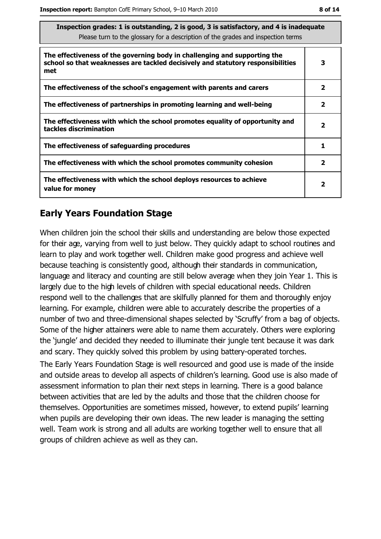| Please turn to the glossary for a description of the grades and inspection terms                                                                                    |                |  |
|---------------------------------------------------------------------------------------------------------------------------------------------------------------------|----------------|--|
| The effectiveness of the governing body in challenging and supporting the<br>school so that weaknesses are tackled decisively and statutory responsibilities<br>met |                |  |
| The effectiveness of the school's engagement with parents and carers                                                                                                | $\overline{2}$ |  |
| The effectiveness of partnerships in promoting learning and well-being                                                                                              |                |  |
| The effectiveness with which the school promotes equality of opportunity and<br>tackles discrimination                                                              |                |  |
| The effectiveness of safeguarding procedures                                                                                                                        | 1              |  |
| The effectiveness with which the school promotes community cohesion                                                                                                 |                |  |
| The effectiveness with which the school deploys resources to achieve<br>value for money                                                                             |                |  |

Inspection grades: 1 is outstanding 2 is good 3 is satisfactory and 4 is inadequate

# **Early Years Foundation Stage**

When children join the school their skills and understanding are below those expected for their age, varying from well to just below. They quickly adapt to school routines and learn to play and work together well. Children make good progress and achieve well because teaching is consistently good, although their standards in communication, language and literacy and counting are still below average when they join Year 1. This is largely due to the high levels of children with special educational needs. Children respond well to the challenges that are skilfully planned for them and thoroughly enjoy learning. For example, children were able to accurately describe the properties of a number of two and three-dimensional shapes selected by 'Scruffy' from a bag of objects. Some of the higher attainers were able to name them accurately. Others were exploring the 'jungle' and decided they needed to illuminate their jungle tent because it was dark and scary. They quickly solved this problem by using battery-operated torches.

The Early Years Foundation Stage is well resourced and good use is made of the inside and outside areas to develop all aspects of children's learning. Good use is also made of assessment information to plan their next steps in learning. There is a good balance between activities that are led by the adults and those that the children choose for themselves. Opportunities are sometimes missed, however, to extend pupils' learning when pupils are developing their own ideas. The new leader is managing the setting well. Team work is strong and all adults are working together well to ensure that all groups of children achieve as well as they can.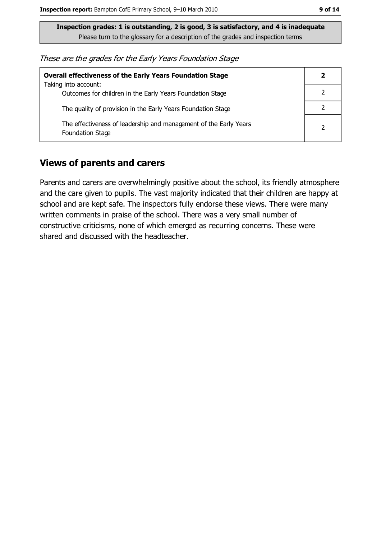These are the grades for the Early Years Foundation Stage

| <b>Overall effectiveness of the Early Years Foundation Stage</b>                      |               |  |
|---------------------------------------------------------------------------------------|---------------|--|
| Taking into account:<br>Outcomes for children in the Early Years Foundation Stage     |               |  |
| The quality of provision in the Early Years Foundation Stage                          |               |  |
| The effectiveness of leadership and management of the Early Years<br>Foundation Stage | $\mathcal{P}$ |  |

#### **Views of parents and carers**

Parents and carers are overwhelmingly positive about the school, its friendly atmosphere and the care given to pupils. The vast majority indicated that their children are happy at school and are kept safe. The inspectors fully endorse these views. There were many written comments in praise of the school. There was a very small number of constructive criticisms, none of which emerged as recurring concerns. These were shared and discussed with the headteacher.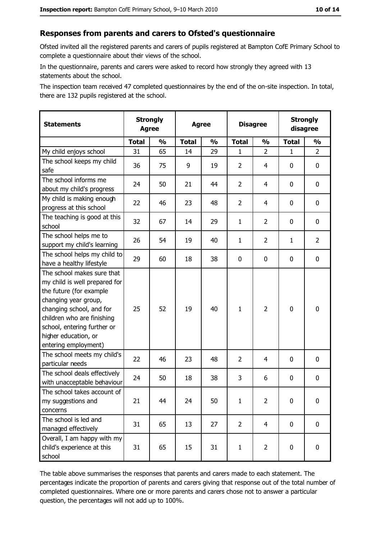#### Responses from parents and carers to Ofsted's questionnaire

Ofsted invited all the registered parents and carers of pupils registered at Bampton CofE Primary School to complete a questionnaire about their views of the school.

In the questionnaire, parents and carers were asked to record how strongly they agreed with 13 statements about the school.

The inspection team received 47 completed questionnaires by the end of the on-site inspection. In total, there are 132 pupils registered at the school.

| <b>Statements</b>                                                                                                                                                                                                                                       | <b>Strongly</b><br><b>Agree</b> |               | <b>Agree</b> |               | <b>Disagree</b> |                | <b>Strongly</b><br>disagree |                  |
|---------------------------------------------------------------------------------------------------------------------------------------------------------------------------------------------------------------------------------------------------------|---------------------------------|---------------|--------------|---------------|-----------------|----------------|-----------------------------|------------------|
|                                                                                                                                                                                                                                                         | <b>Total</b>                    | $\frac{0}{0}$ | <b>Total</b> | $\frac{0}{0}$ | <b>Total</b>    | $\frac{0}{0}$  | <b>Total</b>                | $\frac{0}{0}$    |
| My child enjoys school                                                                                                                                                                                                                                  | 31                              | 65            | 14           | 29            | 1               | $\overline{2}$ | $\mathbf{1}$                | $\overline{2}$   |
| The school keeps my child<br>safe                                                                                                                                                                                                                       | 36                              | 75            | 9            | 19            | $\overline{2}$  | 4              | 0                           | $\mathbf 0$      |
| The school informs me<br>about my child's progress                                                                                                                                                                                                      | 24                              | 50            | 21           | 44            | $\overline{2}$  | 4              | 0                           | 0                |
| My child is making enough<br>progress at this school                                                                                                                                                                                                    | 22                              | 46            | 23           | 48            | $\overline{2}$  | 4              | 0                           | 0                |
| The teaching is good at this<br>school                                                                                                                                                                                                                  | 32                              | 67            | 14           | 29            | $\mathbf{1}$    | $\overline{2}$ | 0                           | 0                |
| The school helps me to<br>support my child's learning                                                                                                                                                                                                   | 26                              | 54            | 19           | 40            | $\mathbf{1}$    | $\overline{2}$ | 1                           | $\overline{2}$   |
| The school helps my child to<br>have a healthy lifestyle                                                                                                                                                                                                | 29                              | 60            | 18           | 38            | $\mathbf 0$     | 0              | 0                           | $\mathbf 0$      |
| The school makes sure that<br>my child is well prepared for<br>the future (for example<br>changing year group,<br>changing school, and for<br>children who are finishing<br>school, entering further or<br>higher education, or<br>entering employment) | 25                              | 52            | 19           | 40            | $\mathbf{1}$    | $\overline{2}$ | $\mathbf 0$                 | $\bf{0}$         |
| The school meets my child's<br>particular needs                                                                                                                                                                                                         | 22                              | 46            | 23           | 48            | $\overline{2}$  | 4              | 0                           | $\mathbf 0$      |
| The school deals effectively<br>with unacceptable behaviour                                                                                                                                                                                             | 24                              | 50            | 18           | 38            | 3               | 6              | 0                           | $\mathbf 0$      |
| The school takes account of<br>my suggestions and<br>concerns                                                                                                                                                                                           | 21                              | 44            | 24           | 50            | $\mathbf{1}$    | $\overline{2}$ | 0                           | $\boldsymbol{0}$ |
| The school is led and<br>managed effectively                                                                                                                                                                                                            | 31                              | 65            | 13           | 27            | $\overline{2}$  | $\overline{4}$ | $\mathbf 0$                 | $\mathbf 0$      |
| Overall, I am happy with my<br>child's experience at this<br>school                                                                                                                                                                                     | 31                              | 65            | 15           | 31            | $\mathbf{1}$    | $\overline{2}$ | 0                           | $\mathbf 0$      |

The table above summarises the responses that parents and carers made to each statement. The percentages indicate the proportion of parents and carers giving that response out of the total number of completed questionnaires. Where one or more parents and carers chose not to answer a particular question, the percentages will not add up to 100%.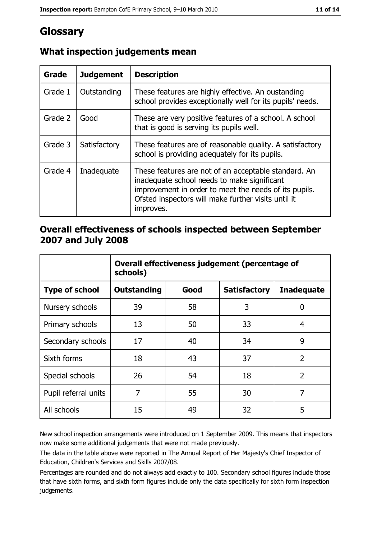# Glossary

| Grade   | <b>Judgement</b> | <b>Description</b>                                                                                                                                                                                                               |  |
|---------|------------------|----------------------------------------------------------------------------------------------------------------------------------------------------------------------------------------------------------------------------------|--|
| Grade 1 | Outstanding      | These features are highly effective. An oustanding<br>school provides exceptionally well for its pupils' needs.                                                                                                                  |  |
| Grade 2 | Good             | These are very positive features of a school. A school<br>that is good is serving its pupils well.                                                                                                                               |  |
| Grade 3 | Satisfactory     | These features are of reasonable quality. A satisfactory<br>school is providing adequately for its pupils.                                                                                                                       |  |
| Grade 4 | Inadequate       | These features are not of an acceptable standard. An<br>inadequate school needs to make significant<br>improvement in order to meet the needs of its pupils.<br>Ofsted inspectors will make further visits until it<br>improves. |  |

# What inspection judgements mean

## Overall effectiveness of schools inspected between September 2007 and July 2008

|                       | Overall effectiveness judgement (percentage of<br>schools) |      |                     |                   |
|-----------------------|------------------------------------------------------------|------|---------------------|-------------------|
| <b>Type of school</b> | <b>Outstanding</b>                                         | Good | <b>Satisfactory</b> | <b>Inadequate</b> |
| Nursery schools       | 39                                                         | 58   | 3                   | 0                 |
| Primary schools       | 13                                                         | 50   | 33                  | 4                 |
| Secondary schools     | 17                                                         | 40   | 34                  | 9                 |
| Sixth forms           | 18                                                         | 43   | 37                  | $\overline{2}$    |
| Special schools       | 26                                                         | 54   | 18                  | $\overline{2}$    |
| Pupil referral units  | 7                                                          | 55   | 30                  | 7                 |
| All schools           | 15                                                         | 49   | 32                  | 5                 |

New school inspection arrangements were introduced on 1 September 2009. This means that inspectors now make some additional judgements that were not made previously.

The data in the table above were reported in The Annual Report of Her Majesty's Chief Inspector of Education, Children's Services and Skills 2007/08.

Percentages are rounded and do not always add exactly to 100. Secondary school figures include those that have sixth forms, and sixth form figures include only the data specifically for sixth form inspection judgements.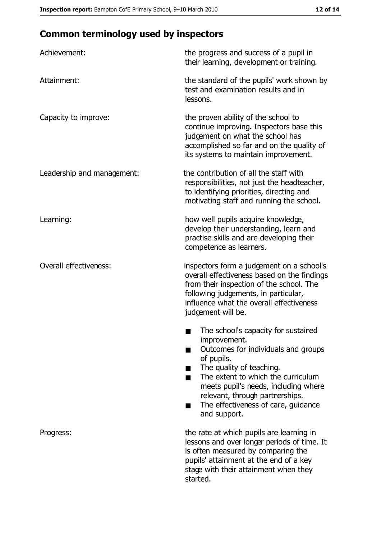# **Common terminology used by inspectors**

| Achievement:               | the progress and success of a pupil in<br>their learning, development or training.                                                                                                                                                                                                                           |
|----------------------------|--------------------------------------------------------------------------------------------------------------------------------------------------------------------------------------------------------------------------------------------------------------------------------------------------------------|
| Attainment:                | the standard of the pupils' work shown by<br>test and examination results and in<br>lessons.                                                                                                                                                                                                                 |
| Capacity to improve:       | the proven ability of the school to<br>continue improving. Inspectors base this<br>judgement on what the school has<br>accomplished so far and on the quality of<br>its systems to maintain improvement.                                                                                                     |
| Leadership and management: | the contribution of all the staff with<br>responsibilities, not just the headteacher,<br>to identifying priorities, directing and<br>motivating staff and running the school.                                                                                                                                |
| Learning:                  | how well pupils acquire knowledge,<br>develop their understanding, learn and<br>practise skills and are developing their<br>competence as learners.                                                                                                                                                          |
| Overall effectiveness:     | inspectors form a judgement on a school's<br>overall effectiveness based on the findings<br>from their inspection of the school. The<br>following judgements, in particular,<br>influence what the overall effectiveness<br>judgement will be.                                                               |
|                            | The school's capacity for sustained<br>improvement.<br>Outcomes for individuals and groups<br>of pupils.<br>The quality of teaching.<br>The extent to which the curriculum<br>meets pupil's needs, including where<br>relevant, through partnerships.<br>The effectiveness of care, guidance<br>and support. |
| Progress:                  | the rate at which pupils are learning in<br>lessons and over longer periods of time. It<br>is often measured by comparing the<br>pupils' attainment at the end of a key<br>stage with their attainment when they<br>started.                                                                                 |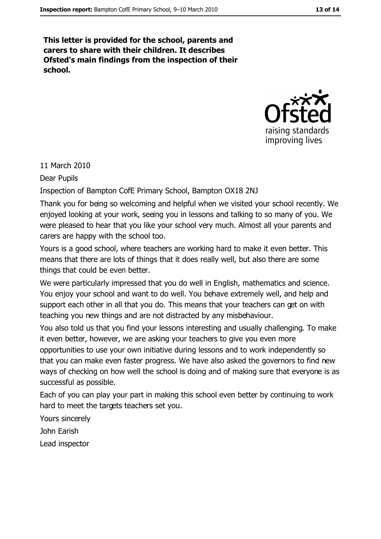This letter is provided for the school, parents and carers to share with their children. It describes Ofsted's main findings from the inspection of their school.



11 March 2010

**Dear Pupils** 

Inspection of Bampton CofE Primary School, Bampton OX18 2NJ

Thank you for being so welcoming and helpful when we visited your school recently. We enjoyed looking at your work, seeing you in lessons and talking to so many of you. We were pleased to hear that you like your school very much. Almost all your parents and carers are happy with the school too.

Yours is a good school, where teachers are working hard to make it even better. This means that there are lots of things that it does really well, but also there are some things that could be even better.

We were particularly impressed that you do well in English, mathematics and science. You enjoy your school and want to do well. You behave extremely well, and help and support each other in all that you do. This means that your teachers can get on with teaching you new things and are not distracted by any misbehaviour.

You also told us that you find your lessons interesting and usually challenging. To make it even better, however, we are asking your teachers to give you even more opportunities to use your own initiative during lessons and to work independently so that you can make even faster progress. We have also asked the governors to find new ways of checking on how well the school is doing and of making sure that everyone is as successful as possible.

Each of you can play your part in making this school even better by continuing to work hard to meet the targets teachers set you.

Yours sincerely

John Earish

Lead inspector